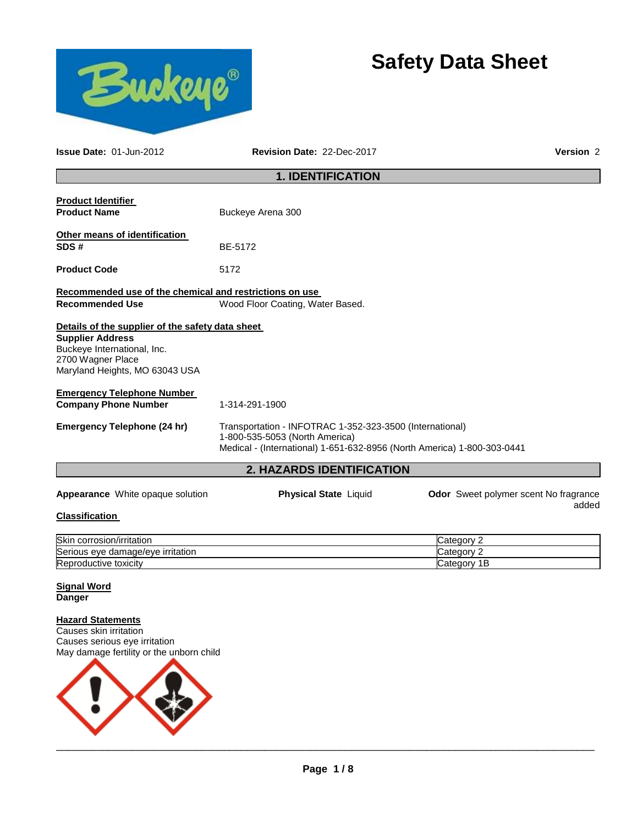



**Issue Date:** 01-Jun-2012 **Revision Date:** 22-Dec-2017 **Version** 2

# **1. IDENTIFICATION**

| <b>Product Identifier</b><br><b>Product Name</b>                                                              | Buckeye Arena 300                                                                                                                                                     |  |                                                       |
|---------------------------------------------------------------------------------------------------------------|-----------------------------------------------------------------------------------------------------------------------------------------------------------------------|--|-------------------------------------------------------|
| Other means of identification<br>SDS#                                                                         | BE-5172                                                                                                                                                               |  |                                                       |
| <b>Product Code</b>                                                                                           | 5172                                                                                                                                                                  |  |                                                       |
| Recommended use of the chemical and restrictions on use<br><b>Recommended Use</b>                             | Wood Floor Coating, Water Based.                                                                                                                                      |  |                                                       |
| Details of the supplier of the safety data sheet                                                              |                                                                                                                                                                       |  |                                                       |
| <b>Supplier Address</b><br>Buckeye International, Inc.<br>2700 Wagner Place<br>Maryland Heights, MO 63043 USA |                                                                                                                                                                       |  |                                                       |
| <b>Emergency Telephone Number</b>                                                                             |                                                                                                                                                                       |  |                                                       |
| <b>Company Phone Number</b>                                                                                   | 1-314-291-1900                                                                                                                                                        |  |                                                       |
| <b>Emergency Telephone (24 hr)</b>                                                                            | Transportation - INFOTRAC 1-352-323-3500 (International)<br>1-800-535-5053 (North America)<br>Medical - (International) 1-651-632-8956 (North America) 1-800-303-0441 |  |                                                       |
| 2. HAZARDS IDENTIFICATION                                                                                     |                                                                                                                                                                       |  |                                                       |
| <b>Appearance</b> White opaque solution                                                                       | <b>Physical State Liquid</b>                                                                                                                                          |  | <b>Odor</b> Sweet polymer scent No fragrance<br>added |
| Claesification                                                                                                |                                                                                                                                                                       |  |                                                       |

#### **Classification**

| Skir<br>corrosion/irritation                | ′ ategoryب    |
|---------------------------------------------|---------------|
| ∽<br>eve damage/eve irritation :<br>Serious | `ategory .    |
| Reproductive toxicity                       | ⊝ategor∨<br>◡ |

#### **Signal Word Danger**

### **Hazard Statements**

Causes skin irritation Causes serious eye irritation May damage fertility or the unborn child

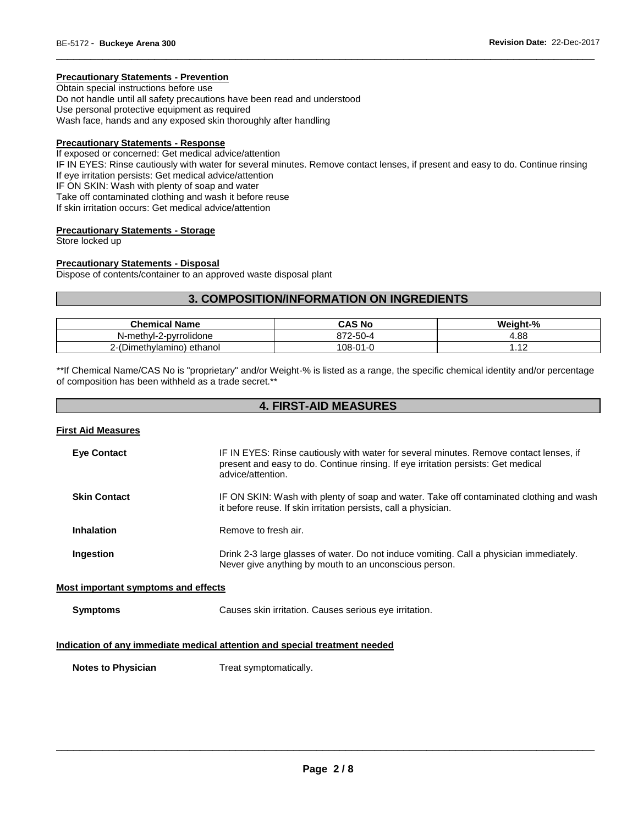# **Precautionary Statements - Prevention**

Obtain special instructions before use Do not handle until all safety precautions have been read and understood Use personal protective equipment as required Wash face, hands and any exposed skin thoroughly after handling

### **Precautionary Statements - Response**

If exposed or concerned: Get medical advice/attention IF IN EYES: Rinse cautiously with water for several minutes. Remove contact lenses, if present and easy to do. Continue rinsing If eye irritation persists: Get medical advice/attention IF ON SKIN: Wash with plenty of soap and water Take off contaminated clothing and wash it before reuse If skin irritation occurs: Get medical advice/attention

\_\_\_\_\_\_\_\_\_\_\_\_\_\_\_\_\_\_\_\_\_\_\_\_\_\_\_\_\_\_\_\_\_\_\_\_\_\_\_\_\_\_\_\_\_\_\_\_\_\_\_\_\_\_\_\_\_\_\_\_\_\_\_\_\_\_\_\_\_\_\_\_\_\_\_\_\_\_\_\_\_\_\_\_\_\_\_\_\_\_\_\_\_

#### **Precautionary Statements - Storage**

Store locked up

### **Precautionary Statements - Disposal**

Dispose of contents/container to an approved waste disposal plant

# **3. COMPOSITION/INFORMATION ON INGREDIENTS**

| <b>Chemical Name</b>      | CAS No         | Weight-%                       |
|---------------------------|----------------|--------------------------------|
| N-methyl-2-pyrrolidone    | $272 - 50 - 4$ | .88.<br>4                      |
| 2-(Dimethylamino) ethanol | 108-01-0       | $\overline{1}$<br>. <u>. .</u> |

\*\*If Chemical Name/CAS No is "proprietary" and/or Weight-% is listed as a range, the specific chemical identity and/or percentage of composition has been withheld as a trade secret.\*\*

# **4. FIRST-AID MEASURES**

#### **First Aid Measures**

| <b>Eye Contact</b>                                                         | IF IN EYES: Rinse cautiously with water for several minutes. Remove contact lenses, if<br>present and easy to do. Continue rinsing. If eye irritation persists: Get medical<br>advice/attention. |  |
|----------------------------------------------------------------------------|--------------------------------------------------------------------------------------------------------------------------------------------------------------------------------------------------|--|
| <b>Skin Contact</b>                                                        | IF ON SKIN: Wash with plenty of soap and water. Take off contaminated clothing and wash<br>it before reuse. If skin irritation persists, call a physician.                                       |  |
| <b>Inhalation</b>                                                          | Remove to fresh air.                                                                                                                                                                             |  |
| Ingestion                                                                  | Drink 2-3 large glasses of water. Do not induce vomiting. Call a physician immediately.<br>Never give anything by mouth to an unconscious person.                                                |  |
| Most important symptoms and effects                                        |                                                                                                                                                                                                  |  |
| <b>Symptoms</b>                                                            | Causes skin irritation. Causes serious eye irritation.                                                                                                                                           |  |
| Indication of any immediate medical attention and special treatment needed |                                                                                                                                                                                                  |  |

**Notes to Physician**  Treat symptomatically.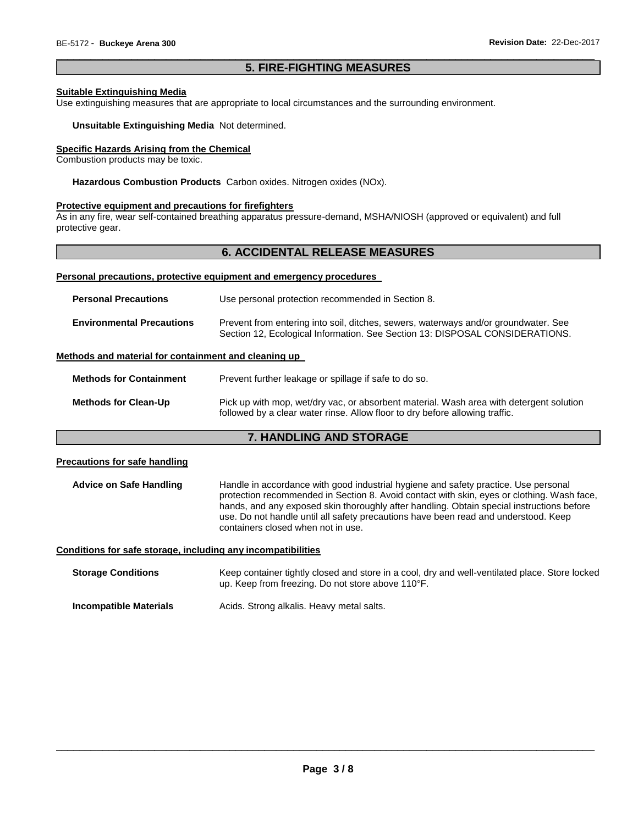# \_\_\_\_\_\_\_\_\_\_\_\_\_\_\_\_\_\_\_\_\_\_\_\_\_\_\_\_\_\_\_\_\_\_\_\_\_\_\_\_\_\_\_\_\_\_\_\_\_\_\_\_\_\_\_\_\_\_\_\_\_\_\_\_\_\_\_\_\_\_\_\_\_\_\_\_\_\_\_\_\_\_\_\_\_\_\_\_\_\_\_\_\_ **5. FIRE-FIGHTING MEASURES**

### **Suitable Extinguishing Media**

Use extinguishing measures that are appropriate to local circumstances and the surrounding environment.

#### **Unsuitable Extinguishing Media** Not determined.

# **Specific Hazards Arising from the Chemical**

Combustion products may be toxic.

**Hazardous Combustion Products** Carbon oxides. Nitrogen oxides (NOx).

### **Protective equipment and precautions for firefighters**

As in any fire, wear self-contained breathing apparatus pressure-demand, MSHA/NIOSH (approved or equivalent) and full protective gear.

# **6. ACCIDENTAL RELEASE MEASURES**

#### **Personal precautions, protective equipment and emergency procedures**

| <b>Personal Precautions</b>      | Use personal protection recommended in Section 8.                                                                                                                   |  |
|----------------------------------|---------------------------------------------------------------------------------------------------------------------------------------------------------------------|--|
| <b>Environmental Precautions</b> | Prevent from entering into soil, ditches, sewers, waterways and/or groundwater. See<br>Section 12, Ecological Information. See Section 13: DISPOSAL CONSIDERATIONS. |  |

## **Methods and material for containment and cleaning up**

| <b>Methods for Containment</b> | Prevent further leakage or spillage if safe to do so.                                                                                                                   |  |
|--------------------------------|-------------------------------------------------------------------------------------------------------------------------------------------------------------------------|--|
| <b>Methods for Clean-Up</b>    | Pick up with mop, wet/dry vac, or absorbent material. Wash area with detergent solution<br>followed by a clear water rinse. Allow floor to dry before allowing traffic. |  |

# **7. HANDLING AND STORAGE**

### **Precautions for safe handling**

**Advice on Safe Handling** Handle in accordance with good industrial hygiene and safety practice. Use personal protection recommended in Section 8. Avoid contact with skin, eyes or clothing. Wash face, hands, and any exposed skin thoroughly after handling. Obtain special instructions before use. Do not handle until all safety precautions have been read and understood. Keep containers closed when not in use.

### **Conditions for safe storage, including any incompatibilities**

| <b>Storage Conditions</b> | Keep container tightly closed and store in a cool, dry and well-ventilated place. Store locked<br>up. Keep from freezing. Do not store above 110°F. |
|---------------------------|-----------------------------------------------------------------------------------------------------------------------------------------------------|
| Incompatible Materials    | Acids. Strong alkalis. Heavy metal salts.                                                                                                           |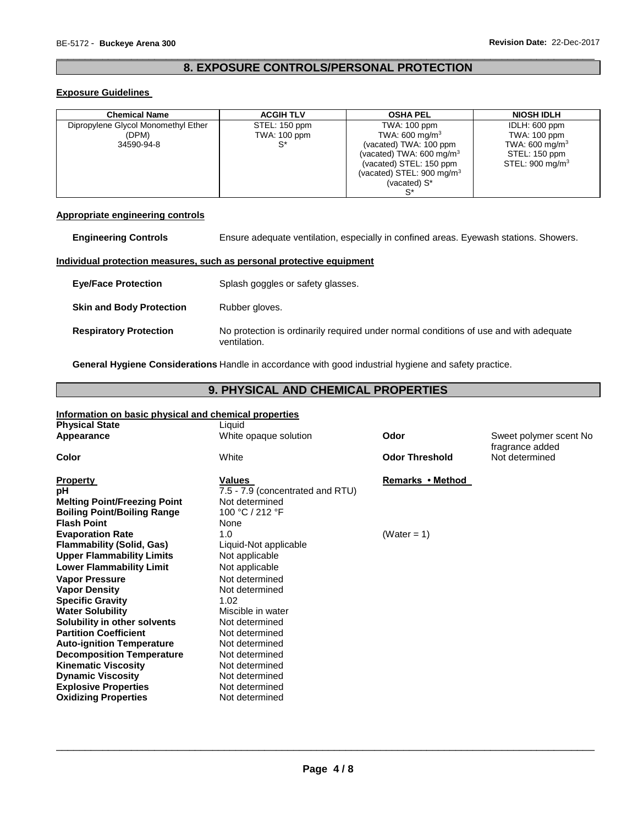# \_\_\_\_\_\_\_\_\_\_\_\_\_\_\_\_\_\_\_\_\_\_\_\_\_\_\_\_\_\_\_\_\_\_\_\_\_\_\_\_\_\_\_\_\_\_\_\_\_\_\_\_\_\_\_\_\_\_\_\_\_\_\_\_\_\_\_\_\_\_\_\_\_\_\_\_\_\_\_\_\_\_\_\_\_\_\_\_\_\_\_\_\_ **8. EXPOSURE CONTROLS/PERSONAL PROTECTION**

### **Exposure Guidelines**

| <b>Chemical Name</b>                | <b>ACGIH TLV</b> | <b>OSHA PEL</b>                      | <b>NIOSH IDLH</b>          |
|-------------------------------------|------------------|--------------------------------------|----------------------------|
| Dipropylene Glycol Monomethyl Ether | STEL: 150 ppm    | TWA: 100 ppm                         | IDLH: 600 ppm              |
| (DPM)                               | TWA: 100 ppm     | TWA: 600 mg/m <sup>3</sup>           | TWA: 100 ppm               |
| 34590-94-8                          | $^{\circ}$       | (vacated) TWA: 100 ppm               | TWA: 600 mg/m <sup>3</sup> |
|                                     |                  | (vacated) TWA: $600 \text{ mg/m}^3$  | STEL: 150 ppm              |
|                                     |                  | (vacated) STEL: 150 ppm              | STEL: $900 \text{ mg/m}^3$ |
|                                     |                  | (vacated) STEL: $900 \text{ mg/m}^3$ |                            |
|                                     |                  | (vacated) S*                         |                            |
|                                     |                  | c*                                   |                            |

# **Appropriate engineering controls**

| <b>Engineering Controls</b>     | Ensure adequate ventilation, especially in confined areas. Eyewash stations. Showers.                 |  |
|---------------------------------|-------------------------------------------------------------------------------------------------------|--|
|                                 | Individual protection measures, such as personal protective equipment                                 |  |
| <b>Eye/Face Protection</b>      | Splash goggles or safety glasses.                                                                     |  |
| <b>Skin and Body Protection</b> | Rubber gloves.                                                                                        |  |
| <b>Respiratory Protection</b>   | No protection is ordinarily required under normal conditions of use and with adequate<br>ventilation. |  |

**General Hygiene Considerations** Handle in accordance with good industrial hygiene and safety practice.

# **9. PHYSICAL AND CHEMICAL PROPERTIES**

| Information on basic physical and chemical properties |                                  |                       |                                            |
|-------------------------------------------------------|----------------------------------|-----------------------|--------------------------------------------|
| <b>Physical State</b>                                 | Liquid                           |                       |                                            |
| Appearance                                            | White opaque solution            | Odor                  | Sweet polymer scent No.<br>fragrance added |
| Color                                                 | White                            | <b>Odor Threshold</b> | Not determined                             |
| <b>Property</b>                                       | <b>Values</b>                    | Remarks • Method      |                                            |
| рH                                                    | 7.5 - 7.9 (concentrated and RTU) |                       |                                            |
| <b>Melting Point/Freezing Point</b>                   | Not determined                   |                       |                                            |
| <b>Boiling Point/Boiling Range</b>                    | 100 °C / 212 °F                  |                       |                                            |
| <b>Flash Point</b>                                    | None                             |                       |                                            |
| <b>Evaporation Rate</b>                               | 1.0                              | (Water = $1$ )        |                                            |
| <b>Flammability (Solid, Gas)</b>                      | Liquid-Not applicable            |                       |                                            |
| <b>Upper Flammability Limits</b>                      | Not applicable                   |                       |                                            |
| <b>Lower Flammability Limit</b>                       | Not applicable                   |                       |                                            |
| <b>Vapor Pressure</b>                                 | Not determined                   |                       |                                            |
| <b>Vapor Density</b>                                  | Not determined                   |                       |                                            |
| <b>Specific Gravity</b>                               | 1.02                             |                       |                                            |
| <b>Water Solubility</b>                               | Miscible in water                |                       |                                            |
| Solubility in other solvents                          | Not determined                   |                       |                                            |
| <b>Partition Coefficient</b>                          | Not determined                   |                       |                                            |
| <b>Auto-ignition Temperature</b>                      | Not determined                   |                       |                                            |
| <b>Decomposition Temperature</b>                      | Not determined                   |                       |                                            |
| <b>Kinematic Viscosity</b>                            | Not determined                   |                       |                                            |
| <b>Dynamic Viscosity</b>                              | Not determined                   |                       |                                            |
| <b>Explosive Properties</b>                           | Not determined                   |                       |                                            |
| <b>Oxidizing Properties</b>                           | Not determined                   |                       |                                            |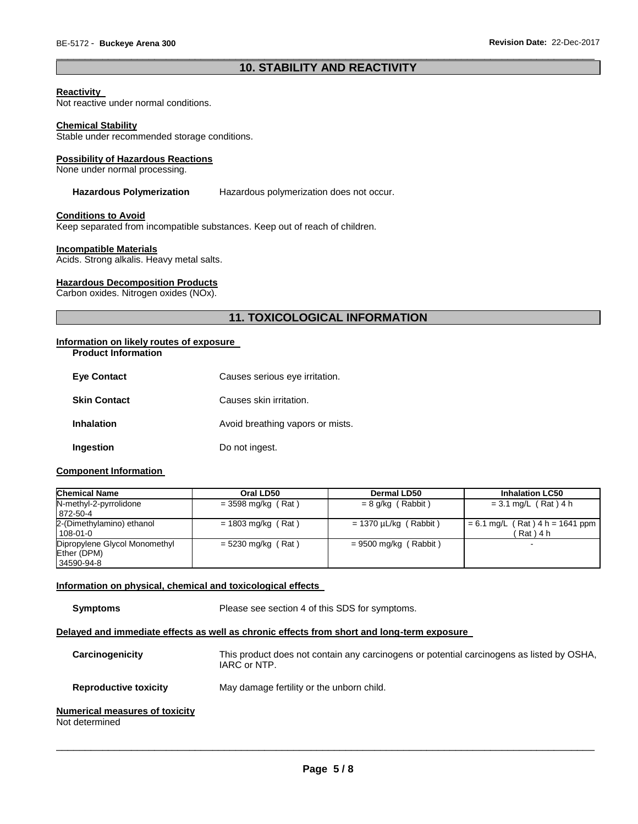# \_\_\_\_\_\_\_\_\_\_\_\_\_\_\_\_\_\_\_\_\_\_\_\_\_\_\_\_\_\_\_\_\_\_\_\_\_\_\_\_\_\_\_\_\_\_\_\_\_\_\_\_\_\_\_\_\_\_\_\_\_\_\_\_\_\_\_\_\_\_\_\_\_\_\_\_\_\_\_\_\_\_\_\_\_\_\_\_\_\_\_\_\_ **10. STABILITY AND REACTIVITY**

### **Reactivity**

Not reactive under normal conditions.

#### **Chemical Stability**

Stable under recommended storage conditions.

#### **Possibility of Hazardous Reactions**

None under normal processing.

#### **Hazardous Polymerization** Hazardous polymerization does not occur.

#### **Conditions to Avoid**

Keep separated from incompatible substances. Keep out of reach of children.

#### **Incompatible Materials**

Acids. Strong alkalis. Heavy metal salts.

#### **Hazardous Decomposition Products**

Carbon oxides. Nitrogen oxides (NOx).

# **11. TOXICOLOGICAL INFORMATION**

# **Information on likely routes of exposure**

**Product Information** 

| <b>Eve Contact</b>  | Causes serious eye irritation.   |
|---------------------|----------------------------------|
| <b>Skin Contact</b> | Causes skin irritation.          |
| <b>Inhalation</b>   | Avoid breathing vapors or mists. |
| Ingestion           | Do not ingest.                   |

### **Component Information**

| <b>Chemical Name</b>                                       | Oral LD50            | <b>Dermal LD50</b>         | <b>Inhalation LC50</b>                        |
|------------------------------------------------------------|----------------------|----------------------------|-----------------------------------------------|
| N-methyl-2-pyrrolidone<br>872-50-4                         | $= 3598$ mg/kg (Rat) | $= 8$ g/kg (Rabbit)        | $= 3.1$ mg/L (Rat) 4 h                        |
| 2-(Dimethylamino) ethanol<br>108-01-0                      | $= 1803$ mg/kg (Rat) | $= 1370 \mu L/kg$ (Rabbit) | $= 6.1$ mg/L (Rat) 4 h = 1641 ppm<br>(Rat)4 h |
| Dipropylene Glycol Monomethyl<br>Ether (DPM)<br>34590-94-8 | $= 5230$ mg/kg (Rat) | $= 9500$ mg/kg (Rabbit)    | -                                             |

#### **Information on physical, chemical and toxicological effects**

**Symptoms** Please see section 4 of this SDS for symptoms.

#### **Delayed and immediate effects as well as chronic effects from short and long-term exposure**

| Carcinogenicity                                         | This product does not contain any carcinogens or potential carcinogens as listed by OSHA,<br>IARC or NTP. |
|---------------------------------------------------------|-----------------------------------------------------------------------------------------------------------|
| <b>Reproductive toxicity</b>                            | May damage fertility or the unborn child.                                                                 |
| <b>Numerical measures of toxicity</b><br>Not determined |                                                                                                           |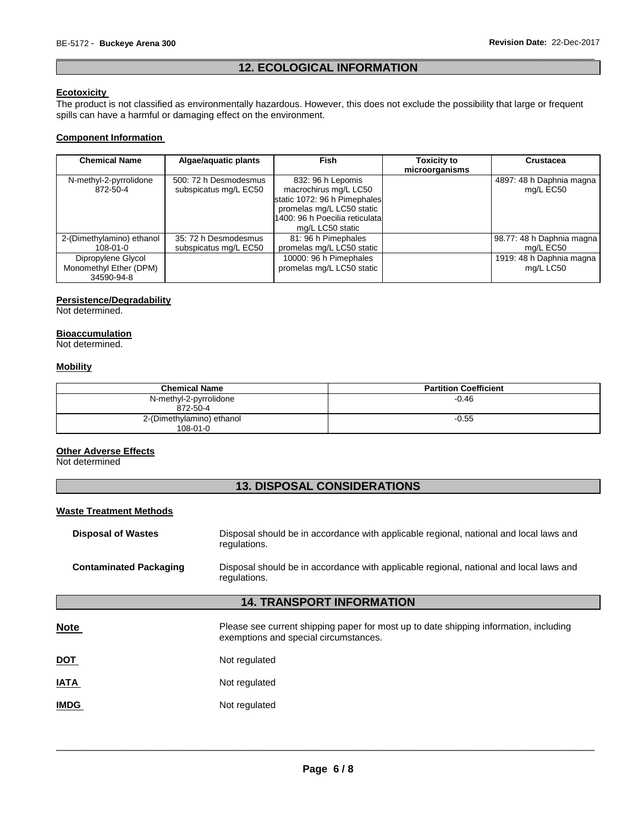# \_\_\_\_\_\_\_\_\_\_\_\_\_\_\_\_\_\_\_\_\_\_\_\_\_\_\_\_\_\_\_\_\_\_\_\_\_\_\_\_\_\_\_\_\_\_\_\_\_\_\_\_\_\_\_\_\_\_\_\_\_\_\_\_\_\_\_\_\_\_\_\_\_\_\_\_\_\_\_\_\_\_\_\_\_\_\_\_\_\_\_\_\_ **12. ECOLOGICAL INFORMATION**

## **Ecotoxicity**

The product is not classified as environmentally hazardous. However, this does not exclude the possibility that large or frequent spills can have a harmful or damaging effect on the environment.

# **Component Information**

| <b>Chemical Name</b>      | Algae/aquatic plants  | <b>Fish</b>                     | Toxicity to<br>microorganisms | Crustacea                 |
|---------------------------|-----------------------|---------------------------------|-------------------------------|---------------------------|
| N-methyl-2-pyrrolidone    | 500: 72 h Desmodesmus | 832: 96 h Lepomis               |                               | 4897: 48 h Daphnia magna  |
| 872-50-4                  | subspicatus mg/L EC50 | macrochirus mg/L LC50           |                               | mg/L EC50                 |
|                           |                       | static 1072: 96 h Pimephales    |                               |                           |
|                           |                       | promelas mg/L LC50 static       |                               |                           |
|                           |                       | 1400: 96 h Poecilia reticulatal |                               |                           |
|                           |                       | mg/L LC50 static                |                               |                           |
| 2-(Dimethylamino) ethanol | 35: 72 h Desmodesmus  | 81: 96 h Pimephales             |                               | 98.77: 48 h Daphnia magna |
| $108 - 01 - 0$            | subspicatus mg/L EC50 | promelas mg/L LC50 static       |                               | mg/L EC50                 |
| Dipropylene Glycol        |                       | 10000: 96 h Pimephales          |                               | 1919: 48 h Daphnia magna  |
| Monomethyl Ether (DPM)    |                       | promelas mg/L LC50 static       |                               | mg/L LC50                 |
| 34590-94-8                |                       |                                 |                               |                           |

# **Persistence/Degradability**

Not determined.

# **Bioaccumulation**

Not determined.

# **Mobility**

| <b>Chemical Name</b>                        | <b>Partition Coefficient</b> |
|---------------------------------------------|------------------------------|
| N-methyl-2-pyrrolidone<br>872-50-4          | $-0.46$                      |
| 2-(Dimethylamino) ethanol<br>$108 - 01 - 0$ | $-0.55$                      |

## **Other Adverse Effects**

Not determined

# **13. DISPOSAL CONSIDERATIONS**

### **Waste Treatment Methods**

| <b>Disposal of Wastes</b>     | Disposal should be in accordance with applicable regional, national and local laws and<br>regulations.                         |
|-------------------------------|--------------------------------------------------------------------------------------------------------------------------------|
| <b>Contaminated Packaging</b> | Disposal should be in accordance with applicable regional, national and local laws and<br>regulations.                         |
|                               | <b>14. TRANSPORT INFORMATION</b>                                                                                               |
| <b>Note</b>                   | Please see current shipping paper for most up to date shipping information, including<br>exemptions and special circumstances. |
| <u>DOT</u>                    | Not regulated                                                                                                                  |
| <b>ATA</b>                    | Not regulated                                                                                                                  |
| <b>IMDG</b>                   | Not regulated                                                                                                                  |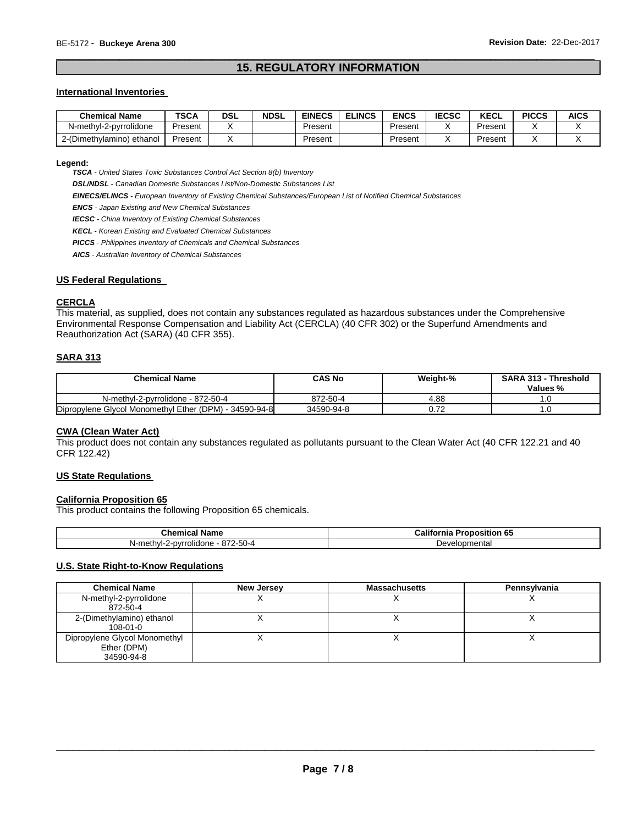# \_\_\_\_\_\_\_\_\_\_\_\_\_\_\_\_\_\_\_\_\_\_\_\_\_\_\_\_\_\_\_\_\_\_\_\_\_\_\_\_\_\_\_\_\_\_\_\_\_\_\_\_\_\_\_\_\_\_\_\_\_\_\_\_\_\_\_\_\_\_\_\_\_\_\_\_\_\_\_\_\_\_\_\_\_\_\_\_\_\_\_\_\_ **15. REGULATORY INFORMATION**

#### **International Inventories**

| <b>Chemical Name</b>      | <b>TSCA</b> | DSL | <b>NDSL</b> | <b>EINECS</b> | <b>ELINCS</b> | ENCS    | <b>IECSC</b> | <b>KECL</b> | <b>PICCS</b> | <b>AICS</b> |
|---------------------------|-------------|-----|-------------|---------------|---------------|---------|--------------|-------------|--------------|-------------|
| N-methyl-2-pyrrolidone    | Present     |     |             | Present       |               | Present |              | Present     |              |             |
| 2-(Dimethylamino) ethanol | Present     |     |             | Present       |               | Present |              | Present     |              |             |

#### **Legend:**

*TSCA - United States Toxic Substances Control Act Section 8(b) Inventory* 

*DSL/NDSL - Canadian Domestic Substances List/Non-Domestic Substances List* 

*EINECS/ELINCS - European Inventory of Existing Chemical Substances/European List of Notified Chemical Substances* 

*ENCS - Japan Existing and New Chemical Substances* 

*IECSC - China Inventory of Existing Chemical Substances* 

*KECL - Korean Existing and Evaluated Chemical Substances* 

*PICCS - Philippines Inventory of Chemicals and Chemical Substances* 

*AICS - Australian Inventory of Chemical Substances* 

### **US Federal Regulations**

# **CERCLA**

This material, as supplied, does not contain any substances regulated as hazardous substances under the Comprehensive Environmental Response Compensation and Liability Act (CERCLA) (40 CFR 302) or the Superfund Amendments and Reauthorization Act (SARA) (40 CFR 355).

# **SARA 313**

| <b>Chemical Name</b>                                   | CAS No     | Weight-% | <b>SARA 313 - Threshold</b><br>Values % |
|--------------------------------------------------------|------------|----------|-----------------------------------------|
| N-methyl-2-pyrrolidone - 872-50-4                      | 872-50-4   | 4.88     |                                         |
| Dipropylene Glycol Monomethyl Ether (DPM) - 34590-94-8 | 34590-94-8 |          |                                         |

### **CWA (Clean Water Act)**

This product does not contain any substances regulated as pollutants pursuant to the Clean Water Act (40 CFR 122.21 and 40 CFR 122.42)

# **US State Regulations**

### **California Proposition 65**

This product contains the following Proposition 65 chemicals.

| hemical Name. ت                                  | - 126<br>- -<br>----<br>'onositior<br>- Califo.<br>ornia<br>ິບປ |  |  |
|--------------------------------------------------|-----------------------------------------------------------------|--|--|
| 4-20-2، ن<br>*rolidone<br>2-nvr<br>methvl-<br>Nŀ | velopmenta.<br>. Jevr                                           |  |  |

# **U.S. State Right-to-Know Regulations**

| <b>Chemical Name</b>                                       | New Jersey | <b>Massachusetts</b> | Pennsylvania |
|------------------------------------------------------------|------------|----------------------|--------------|
| N-methyl-2-pyrrolidone<br>872-50-4                         |            |                      |              |
| 2-(Dimethylamino) ethanol<br>$108 - 01 - 0$                |            |                      |              |
| Dipropylene Glycol Monomethyl<br>Ether (DPM)<br>34590-94-8 |            |                      |              |